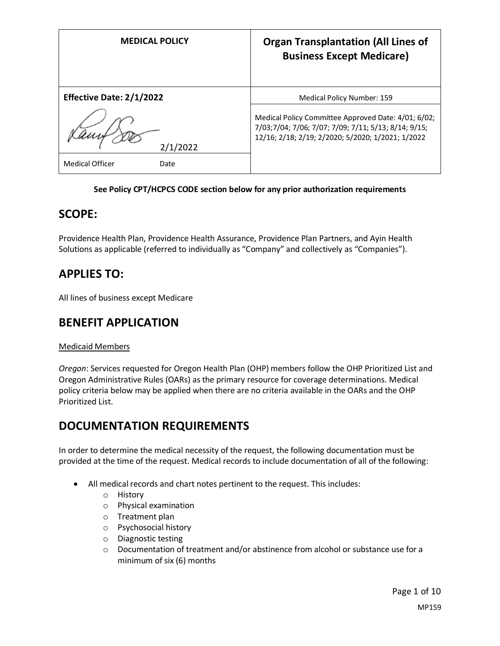| <b>MEDICAL POLICY</b>           | <b>Organ Transplantation (All Lines of</b><br><b>Business Except Medicare)</b>                                                                                   |
|---------------------------------|------------------------------------------------------------------------------------------------------------------------------------------------------------------|
| <b>Effective Date: 2/1/2022</b> | Medical Policy Number: 159                                                                                                                                       |
| 2/1/2022                        | Medical Policy Committee Approved Date: 4/01; 6/02;<br>7/03;7/04; 7/06; 7/07; 7/09; 7/11; 5/13; 8/14; 9/15;<br>12/16; 2/18; 2/19; 2/2020; 5/2020; 1/2021; 1/2022 |
| <b>Medical Officer</b><br>Date  |                                                                                                                                                                  |

#### **See Policy CPT/HCPCS CODE section below for any prior authorization requirements**

## **SCOPE:**

Providence Health Plan, Providence Health Assurance, Providence Plan Partners, and Ayin Health Solutions as applicable (referred to individually as "Company" and collectively as "Companies").

## **APPLIES TO:**

All lines of business except Medicare

# **BENEFIT APPLICATION**

### Medicaid Members

*Oregon*: Services requested for Oregon Health Plan (OHP) members follow the OHP Prioritized List and Oregon Administrative Rules (OARs) as the primary resource for coverage determinations. Medical policy criteria below may be applied when there are no criteria available in the OARs and the OHP Prioritized List.

# **DOCUMENTATION REQUIREMENTS**

In order to determine the medical necessity of the request, the following documentation must be provided at the time of the request. Medical records to include documentation of all of the following:

- All medical records and chart notes pertinent to the request. This includes:
	- o History
	- o Physical examination
	- o Treatment plan
	- o Psychosocial history
	- o Diagnostic testing
	- o Documentation of treatment and/or abstinence from alcohol or substance use for a minimum of six (6) months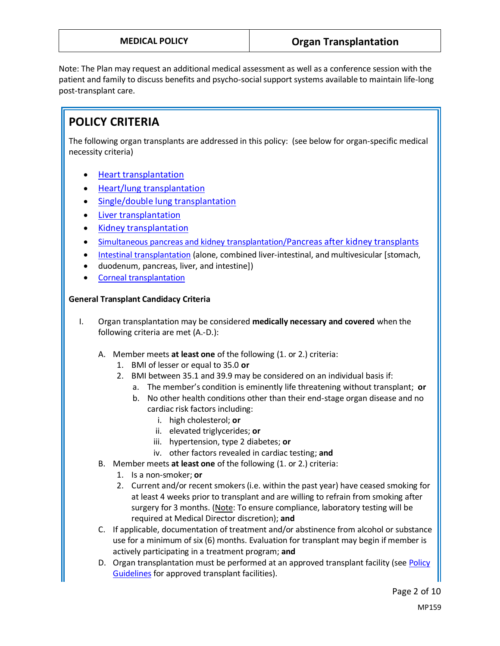Note: The Plan may request an additional medical assessment as well as a conference session with the patient and family to discuss benefits and psycho-social support systems available to maintain life-long post-transplant care.

# **POLICY CRITERIA**

The following organ transplants are addressed in this policy: (see below for organ-specific medical necessity criteria)

- **[Heart transplantation](#page-2-0)**
- [Heart/lung transplantation](#page-2-1)
- [Single/double lung transplantation](#page-2-2)
- [Liver transplantation](#page-3-0)
- [Kidney transplantation](#page-3-1)
- [Simultaneous pancreas and kidney transplantation/](#page-3-2)[Pancreas after kidney transplants](#page-3-2)
- [Intestinal transplantation](#page-4-0) (alone, combined liver-intestinal, and multivesicular [stomach,
- duodenum, pancreas, liver, and intestine])
- [Corneal transplantation](#page-4-1)

### **General Transplant Candidacy Criteria**

- I. Organ transplantation may be considered **medically necessary and covered** when the following criteria are met (A.-D.):
	- A. Member meets **at least one** of the following (1. or 2.) criteria:
		- 1. BMI of lesser or equal to 35.0 **or**
		- 2. BMI between 35.1 and 39.9 may be considered on an individual basis if:
			- a. The member's condition is eminently life threatening without transplant; **or**
			- b. No other health conditions other than their end-stage organ disease and no cardiac risk factors including:
				- i. high cholesterol; **or**
				- ii. elevated triglycerides; **or**
				- iii. hypertension, type 2 diabetes; **or**
				- iv. other factors revealed in cardiac testing; **and**
	- B. Member meets **at least one** of the following (1. or 2.) criteria:
		- 1. Is a non-smoker; **or**
		- 2. Current and/or recent smokers (i.e. within the past year) have ceased smoking for at least 4 weeks prior to transplant and are willing to refrain from smoking after surgery for 3 months. (Note: To ensure compliance, laboratory testing will be required at Medical Director discretion); **and**
	- C. If applicable, documentation of treatment and/or abstinence from alcohol or substance use for a minimum of six (6) months. Evaluation for transplant may begin if member is actively participating in a treatment program; **and**
	- D. Organ transplantation must be performed at an approved transplant facility (see Policy [Guidelines](#page-5-0) for approved transplant facilities).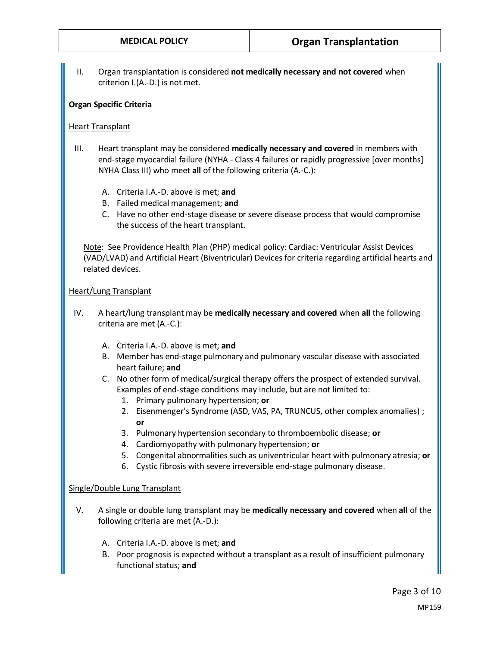II. Organ transplantation is considered **not medically necessary and not covered** when criterion I.(A.-D.) is not met.

#### **Organ Specific Criteria**

#### <span id="page-2-0"></span>Heart Transplant

- III. Heart transplant may be considered **medically necessary and covered** in members with end-stage myocardial failure (NYHA - Class 4 failures or rapidly progressive [over months] NYHA Class III) who meet **all** of the following criteria (A.-C.):
	- A. Criteria I.A.-D. above is met; **and**
	- B. Failed medical management; **and**
	- C. Have no other end-stage disease or severe disease process that would compromise the success of the heart transplant.

Note:See Providence Health Plan (PHP) medical policy: Cardiac: Ventricular Assist Devices (VAD/LVAD) and Artificial Heart (Biventricular) Devices for criteria regarding artificial hearts and related devices.

#### <span id="page-2-1"></span>Heart/Lung Transplant

- IV. A heart/lung transplant may be **medically necessary and covered** when **all** the following criteria are met (A.-C.):
	- A. Criteria I.A.-D. above is met; **and**
	- B. Member has end-stage pulmonary and pulmonary vascular disease with associated heart failure; **and**
	- C. No other form of medical/surgical therapy offers the prospect of extended survival. Examples of end-stage conditions may include, but are not limited to:
		- 1. Primary pulmonary hypertension; **or**
		- 2. Eisenmenger's Syndrome (ASD, VAS, PA, TRUNCUS, other complex anomalies) ; **or**
		- 3. Pulmonary hypertension secondary to thromboembolic disease; **or**
		- 4. Cardiomyopathy with pulmonary hypertension; **or**
		- 5. Congenital abnormalities such as univentricular heart with pulmonary atresia; **or**
		- 6. Cystic fibrosis with severe irreversible end-stage pulmonary disease.

#### <span id="page-2-2"></span>Single/Double Lung Transplant

- V. A single or double lung transplant may be **medically necessary and covered** when **all** of the following criteria are met (A.-D.):
	- A. Criteria I.A.-D. above is met; **and**
	- B. Poor prognosis is expected without a transplant as a result of insufficient pulmonary functional status; **and**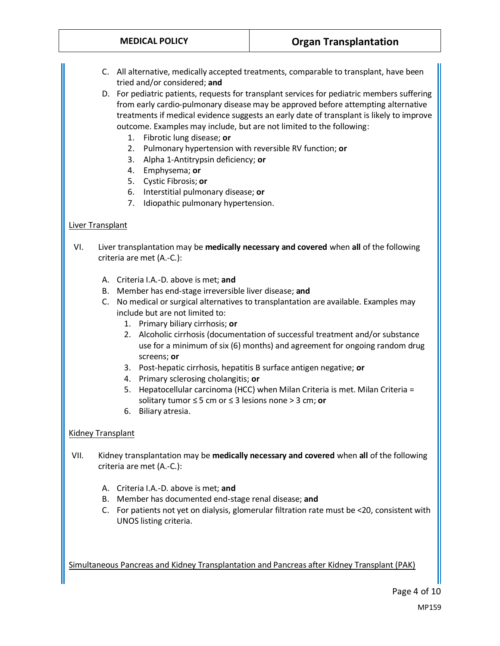C. All alternative, medically accepted treatments, comparable to transplant, have been tried and/or considered; **and**

D. For pediatric patients, requests for transplant services for pediatric members suffering from early cardio-pulmonary disease may be approved before attempting alternative treatments if medical evidence suggests an early date of transplant is likely to improve outcome. Examples may include, but are not limited to the following:

- 1. Fibrotic lung disease; **or**
- 2. Pulmonary hypertension with reversible RV function; **or**
- 3. Alpha 1-Antitrypsin deficiency; **or**
- 4. Emphysema; **or**
- 5. Cystic Fibrosis; **or**
- 6. Interstitial pulmonary disease; **or**
- 7. Idiopathic pulmonary hypertension.

#### <span id="page-3-0"></span>Liver Transplant

- VI. Liver transplantation may be **medically necessary and covered** when **all** of the following criteria are met (A.-C.):
	- A. Criteria I.A.-D. above is met; **and**
	- B. Member has end-stage irreversible liver disease; **and**
	- C. No medical or surgical alternatives to transplantation are available. Examples may include but are not limited to:
		- 1. Primary biliary cirrhosis; **or**
		- 2. Alcoholic cirrhosis (documentation of successful treatment and/or substance use for a minimum of six (6) months) and agreement for ongoing random drug screens; **or**
		- 3. Post-hepatic cirrhosis, hepatitis B surface antigen negative; **or**
		- 4. Primary sclerosing cholangitis; **or**
		- 5. Hepatocellular carcinoma (HCC) when Milan Criteria is met. Milan Criteria = solitary tumor ≤ 5 cm or ≤ 3 lesions none > 3 cm; **or**
		- 6. Biliary atresia.

#### <span id="page-3-1"></span>Kidney Transplant

- VII. Kidney transplantation may be **medically necessary and covered** when **all** of the following criteria are met (A.-C.):
	- A. Criteria I.A.-D. above is met; **and**
	- B. Member has documented end-stage renal disease; **and**
	- C. For patients not yet on dialysis, glomerular filtration rate must be <20, consistent with UNOS listing criteria.

<span id="page-3-2"></span>Simultaneous Pancreas and Kidney Transplantation and Pancreas after Kidney Transplant (PAK)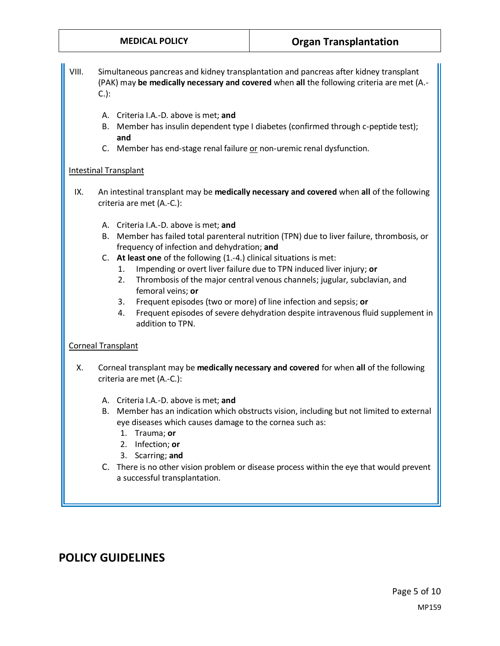## **MEDICAL POLICY Organ Transplantation**

- VIII. Simultaneous pancreas and kidney transplantation and pancreas after kidney transplant (PAK) may **be medically necessary and covered** when **all** the following criteria are met (A.- C.):
	- A. Criteria I.A.-D. above is met; **and**
	- B. Member has insulin dependent type I diabetes (confirmed through c-peptide test); **and**
	- C. Member has end-stage renal failure or non-uremic renal dysfunction.

#### <span id="page-4-0"></span>Intestinal Transplant

- IX. An intestinal transplant may be **medically necessary and covered** when **all** of the following criteria are met (A.-C.):
	- A. Criteria I.A.-D. above is met; **and**
	- B. Member has failed total parenteral nutrition (TPN) due to liver failure, thrombosis, or frequency of infection and dehydration; **and**
	- C. **At least one** of the following (1.-4.) clinical situations is met:
		- 1. Impending or overt liver failure due to TPN induced liver injury; **or**
		- 2. Thrombosis of the major central venous channels; jugular, subclavian, and femoral veins; **or**
		- 3. Frequent episodes (two or more) of line infection and sepsis; **or**
		- 4. Frequent episodes of severe dehydration despite intravenous fluid supplement in addition to TPN.

### <span id="page-4-1"></span>Corneal Transplant

- X. Corneal transplant may be **medically necessary and covered** for when **all** of the following criteria are met (A.-C.):
	- A. Criteria I.A.-D. above is met; **and**
	- B. Member has an indication which obstructs vision, including but not limited to external eye diseases which causes damage to the cornea such as:
		- 1. Trauma; **or**
		- 2. Infection; **or**
		- 3. Scarring; **and**
	- C. There is no other vision problem or disease process within the eye that would prevent a successful transplantation.

## **POLICY GUIDELINES**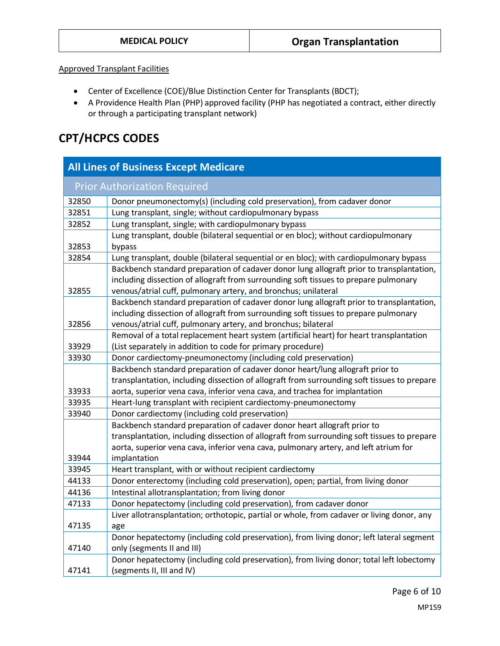#### <span id="page-5-0"></span>Approved Transplant Facilities

- Center of Excellence (COE)/Blue Distinction Center for Transplants (BDCT);
- A Providence Health Plan (PHP) approved facility (PHP has negotiated a contract, either directly or through a participating transplant network)

# **CPT/HCPCS CODES**

| <b>All Lines of Business Except Medicare</b> |                                                                                             |
|----------------------------------------------|---------------------------------------------------------------------------------------------|
|                                              | <b>Prior Authorization Required</b>                                                         |
| 32850                                        | Donor pneumonectomy(s) (including cold preservation), from cadaver donor                    |
| 32851                                        | Lung transplant, single; without cardiopulmonary bypass                                     |
| 32852                                        | Lung transplant, single; with cardiopulmonary bypass                                        |
|                                              | Lung transplant, double (bilateral sequential or en bloc); without cardiopulmonary          |
| 32853                                        | bypass                                                                                      |
| 32854                                        | Lung transplant, double (bilateral sequential or en bloc); with cardiopulmonary bypass      |
|                                              | Backbench standard preparation of cadaver donor lung allograft prior to transplantation,    |
|                                              | including dissection of allograft from surrounding soft tissues to prepare pulmonary        |
| 32855                                        | venous/atrial cuff, pulmonary artery, and bronchus; unilateral                              |
|                                              | Backbench standard preparation of cadaver donor lung allograft prior to transplantation,    |
|                                              | including dissection of allograft from surrounding soft tissues to prepare pulmonary        |
| 32856                                        | venous/atrial cuff, pulmonary artery, and bronchus; bilateral                               |
|                                              | Removal of a total replacement heart system (artificial heart) for heart transplantation    |
| 33929                                        | (List separately in addition to code for primary procedure)                                 |
| 33930                                        | Donor cardiectomy-pneumonectomy (including cold preservation)                               |
|                                              | Backbench standard preparation of cadaver donor heart/lung allograft prior to               |
|                                              | transplantation, including dissection of allograft from surrounding soft tissues to prepare |
| 33933                                        | aorta, superior vena cava, inferior vena cava, and trachea for implantation                 |
| 33935                                        | Heart-lung transplant with recipient cardiectomy-pneumonectomy                              |
| 33940                                        | Donor cardiectomy (including cold preservation)                                             |
|                                              | Backbench standard preparation of cadaver donor heart allograft prior to                    |
|                                              | transplantation, including dissection of allograft from surrounding soft tissues to prepare |
|                                              | aorta, superior vena cava, inferior vena cava, pulmonary artery, and left atrium for        |
| 33944                                        | implantation                                                                                |
| 33945                                        | Heart transplant, with or without recipient cardiectomy                                     |
| 44133                                        | Donor enterectomy (including cold preservation), open; partial, from living donor           |
| 44136                                        | Intestinal allotransplantation; from living donor                                           |
| 47133                                        | Donor hepatectomy (including cold preservation), from cadaver donor                         |
|                                              | Liver allotransplantation; orthotopic, partial or whole, from cadaver or living donor, any  |
| 47135                                        | age                                                                                         |
|                                              | Donor hepatectomy (including cold preservation), from living donor; left lateral segment    |
| 47140                                        | only (segments II and III)                                                                  |
|                                              | Donor hepatectomy (including cold preservation), from living donor; total left lobectomy    |
| 47141                                        | (segments II, III and IV)                                                                   |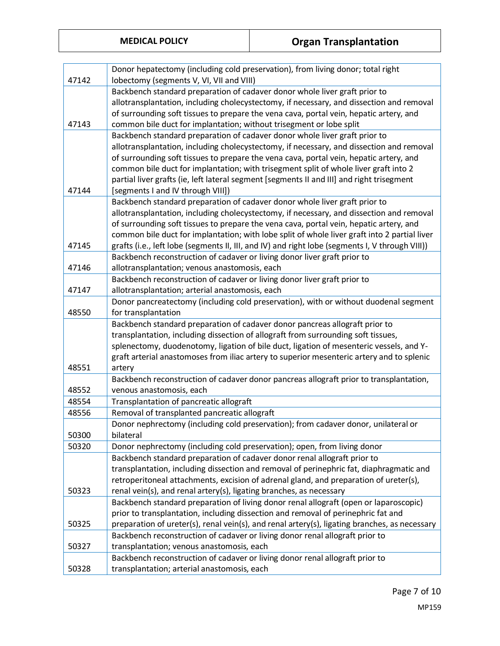|       | Donor hepatectomy (including cold preservation), from living donor; total right                                                    |
|-------|------------------------------------------------------------------------------------------------------------------------------------|
| 47142 | lobectomy (segments V, VI, VII and VIII)                                                                                           |
|       | Backbench standard preparation of cadaver donor whole liver graft prior to                                                         |
|       | allotransplantation, including cholecystectomy, if necessary, and dissection and removal                                           |
|       | of surrounding soft tissues to prepare the vena cava, portal vein, hepatic artery, and                                             |
| 47143 | common bile duct for implantation; without trisegment or lobe split                                                                |
|       | Backbench standard preparation of cadaver donor whole liver graft prior to                                                         |
|       | allotransplantation, including cholecystectomy, if necessary, and dissection and removal                                           |
|       | of surrounding soft tissues to prepare the vena cava, portal vein, hepatic artery, and                                             |
|       | common bile duct for implantation; with trisegment split of whole liver graft into 2                                               |
|       | partial liver grafts (ie, left lateral segment [segments II and III] and right trisegment                                          |
| 47144 | [segments I and IV through VIII])                                                                                                  |
|       | Backbench standard preparation of cadaver donor whole liver graft prior to                                                         |
|       | allotransplantation, including cholecystectomy, if necessary, and dissection and removal                                           |
|       | of surrounding soft tissues to prepare the vena cava, portal vein, hepatic artery, and                                             |
|       | common bile duct for implantation; with lobe split of whole liver graft into 2 partial liver                                       |
| 47145 | grafts (i.e., left lobe (segments II, III, and IV) and right lobe (segments I, V through VIII))                                    |
|       | Backbench reconstruction of cadaver or living donor liver graft prior to                                                           |
| 47146 | allotransplantation; venous anastomosis, each                                                                                      |
|       | Backbench reconstruction of cadaver or living donor liver graft prior to                                                           |
| 47147 | allotransplantation; arterial anastomosis, each                                                                                    |
| 48550 | Donor pancreatectomy (including cold preservation), with or without duodenal segment<br>for transplantation                        |
|       |                                                                                                                                    |
|       |                                                                                                                                    |
|       | Backbench standard preparation of cadaver donor pancreas allograft prior to                                                        |
|       | transplantation, including dissection of allograft from surrounding soft tissues,                                                  |
|       | splenectomy, duodenotomy, ligation of bile duct, ligation of mesenteric vessels, and Y-                                            |
|       | graft arterial anastomoses from iliac artery to superior mesenteric artery and to splenic                                          |
| 48551 | artery                                                                                                                             |
| 48552 | Backbench reconstruction of cadaver donor pancreas allograft prior to transplantation,                                             |
| 48554 | venous anastomosis, each                                                                                                           |
| 48556 | Transplantation of pancreatic allograft                                                                                            |
|       | Removal of transplanted pancreatic allograft<br>Donor nephrectomy (including cold preservation); from cadaver donor, unilateral or |
| 50300 | bilateral                                                                                                                          |
| 50320 | Donor nephrectomy (including cold preservation); open, from living donor                                                           |
|       | Backbench standard preparation of cadaver donor renal allograft prior to                                                           |
|       | transplantation, including dissection and removal of perinephric fat, diaphragmatic and                                            |
|       | retroperitoneal attachments, excision of adrenal gland, and preparation of ureter(s),                                              |
| 50323 | renal vein(s), and renal artery(s), ligating branches, as necessary                                                                |
|       | Backbench standard preparation of living donor renal allograft (open or laparoscopic)                                              |
|       | prior to transplantation, including dissection and removal of perinephric fat and                                                  |
| 50325 | preparation of ureter(s), renal vein(s), and renal artery(s), ligating branches, as necessary                                      |
|       | Backbench reconstruction of cadaver or living donor renal allograft prior to                                                       |
| 50327 | transplantation; venous anastomosis, each                                                                                          |
| 50328 | Backbench reconstruction of cadaver or living donor renal allograft prior to<br>transplantation; arterial anastomosis, each        |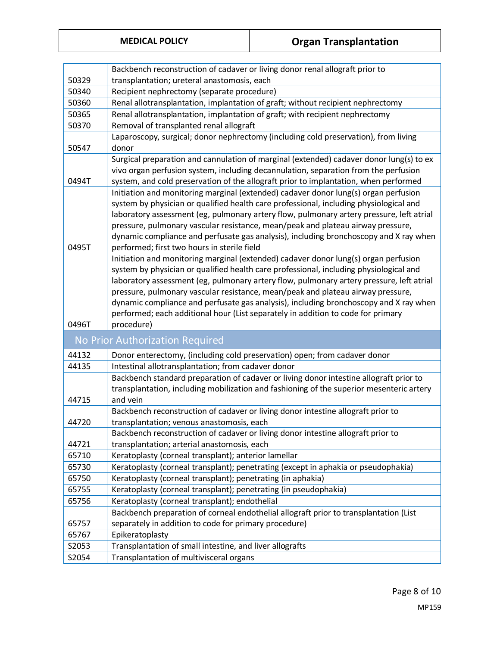|  | <b>MEDICAL POLICY</b> |  |  |
|--|-----------------------|--|--|

|                | Backbench reconstruction of cadaver or living donor renal allograft prior to                                                                                                       |
|----------------|------------------------------------------------------------------------------------------------------------------------------------------------------------------------------------|
| 50329          | transplantation; ureteral anastomosis, each                                                                                                                                        |
| 50340          | Recipient nephrectomy (separate procedure)                                                                                                                                         |
| 50360          | Renal allotransplantation, implantation of graft; without recipient nephrectomy                                                                                                    |
| 50365          | Renal allotransplantation, implantation of graft; with recipient nephrectomy                                                                                                       |
| 50370          | Removal of transplanted renal allograft                                                                                                                                            |
|                | Laparoscopy, surgical; donor nephrectomy (including cold preservation), from living                                                                                                |
| 50547          | donor                                                                                                                                                                              |
|                | Surgical preparation and cannulation of marginal (extended) cadaver donor lung(s) to ex                                                                                            |
|                | vivo organ perfusion system, including decannulation, separation from the perfusion                                                                                                |
| 0494T          | system, and cold preservation of the allograft prior to implantation, when performed                                                                                               |
|                | Initiation and monitoring marginal (extended) cadaver donor lung(s) organ perfusion                                                                                                |
|                | system by physician or qualified health care professional, including physiological and                                                                                             |
|                | laboratory assessment (eg, pulmonary artery flow, pulmonary artery pressure, left atrial                                                                                           |
|                | pressure, pulmonary vascular resistance, mean/peak and plateau airway pressure,                                                                                                    |
|                | dynamic compliance and perfusate gas analysis), including bronchoscopy and X ray when                                                                                              |
| 0495T          | performed; first two hours in sterile field                                                                                                                                        |
|                | Initiation and monitoring marginal (extended) cadaver donor lung(s) organ perfusion                                                                                                |
|                | system by physician or qualified health care professional, including physiological and<br>laboratory assessment (eg, pulmonary artery flow, pulmonary artery pressure, left atrial |
|                | pressure, pulmonary vascular resistance, mean/peak and plateau airway pressure,                                                                                                    |
|                | dynamic compliance and perfusate gas analysis), including bronchoscopy and X ray when                                                                                              |
|                | performed; each additional hour (List separately in addition to code for primary                                                                                                   |
| 0496T          | procedure)                                                                                                                                                                         |
|                |                                                                                                                                                                                    |
|                | No Prior Authorization Required                                                                                                                                                    |
| 44132          | Donor enterectomy, (including cold preservation) open; from cadaver donor                                                                                                          |
| 44135          | Intestinal allotransplantation; from cadaver donor                                                                                                                                 |
|                | Backbench standard preparation of cadaver or living donor intestine allograft prior to                                                                                             |
|                | transplantation, including mobilization and fashioning of the superior mesenteric artery                                                                                           |
| 44715          | and vein                                                                                                                                                                           |
|                | Backbench reconstruction of cadaver or living donor intestine allograft prior to                                                                                                   |
| 44720          | transplantation; venous anastomosis, each                                                                                                                                          |
|                | Backbench reconstruction of cadaver or living donor intestine allograft prior to                                                                                                   |
| 44721<br>65710 | transplantation; arterial anastomosis, each<br>Keratoplasty (corneal transplant); anterior lamellar                                                                                |
| 65730          | Keratoplasty (corneal transplant); penetrating (except in aphakia or pseudophakia)                                                                                                 |
| 65750          |                                                                                                                                                                                    |
|                |                                                                                                                                                                                    |
|                | Keratoplasty (corneal transplant); penetrating (in aphakia)                                                                                                                        |
| 65755          | Keratoplasty (corneal transplant); penetrating (in pseudophakia)                                                                                                                   |
| 65756          | Keratoplasty (corneal transplant); endothelial                                                                                                                                     |
|                | Backbench preparation of corneal endothelial allograft prior to transplantation (List                                                                                              |
| 65757          | separately in addition to code for primary procedure)                                                                                                                              |
| 65767          | Epikeratoplasty                                                                                                                                                                    |
| S2053<br>S2054 | Transplantation of small intestine, and liver allografts<br>Transplantation of multivisceral organs                                                                                |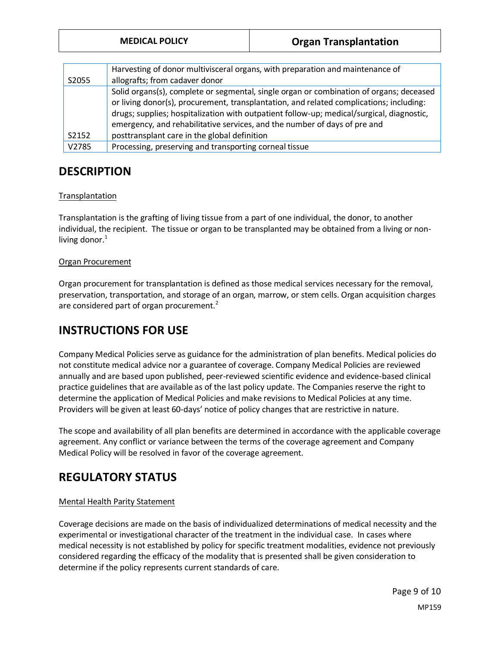| <b>MEDICAL POLICY</b> | <b>Organ Transplantation</b> |
|-----------------------|------------------------------|
|                       |                              |

| S2055 | Harvesting of donor multivisceral organs, with preparation and maintenance of<br>allografts; from cadaver donor                                                                                                                                                                                                                                                                                              |
|-------|--------------------------------------------------------------------------------------------------------------------------------------------------------------------------------------------------------------------------------------------------------------------------------------------------------------------------------------------------------------------------------------------------------------|
| S2152 | Solid organs(s), complete or segmental, single organ or combination of organs; deceased<br>or living donor(s), procurement, transplantation, and related complications; including:<br>drugs; supplies; hospitalization with outpatient follow-up; medical/surgical, diagnostic,<br>emergency, and rehabilitative services, and the number of days of pre and<br>posttransplant care in the global definition |
| V2785 | Processing, preserving and transporting corneal tissue                                                                                                                                                                                                                                                                                                                                                       |

# **DESCRIPTION**

### Transplantation

Transplantation is the grafting of living tissue from a part of one individual, the donor, to another individual, the recipient. The tissue or organ to be transplanted may be obtained from a living or nonliving donor. $<sup>1</sup>$ </sup>

### Organ Procurement

Organ procurement for transplantation is defined as those medical services necessary for the removal, preservation, transportation, and storage of an organ, marrow, or stem cells. Organ acquisition charges are considered part of organ procurement.<sup>2</sup>

# **INSTRUCTIONS FOR USE**

Company Medical Policies serve as guidance for the administration of plan benefits. Medical policies do not constitute medical advice nor a guarantee of coverage. Company Medical Policies are reviewed annually and are based upon published, peer-reviewed scientific evidence and evidence-based clinical practice guidelines that are available as of the last policy update. The Companies reserve the right to determine the application of Medical Policies and make revisions to Medical Policies at any time. Providers will be given at least 60-days' notice of policy changes that are restrictive in nature.

The scope and availability of all plan benefits are determined in accordance with the applicable coverage agreement. Any conflict or variance between the terms of the coverage agreement and Company Medical Policy will be resolved in favor of the coverage agreement.

# **REGULATORY STATUS**

### Mental Health Parity Statement

Coverage decisions are made on the basis of individualized determinations of medical necessity and the experimental or investigational character of the treatment in the individual case. In cases where medical necessity is not established by policy for specific treatment modalities, evidence not previously considered regarding the efficacy of the modality that is presented shall be given consideration to determine if the policy represents current standards of care.